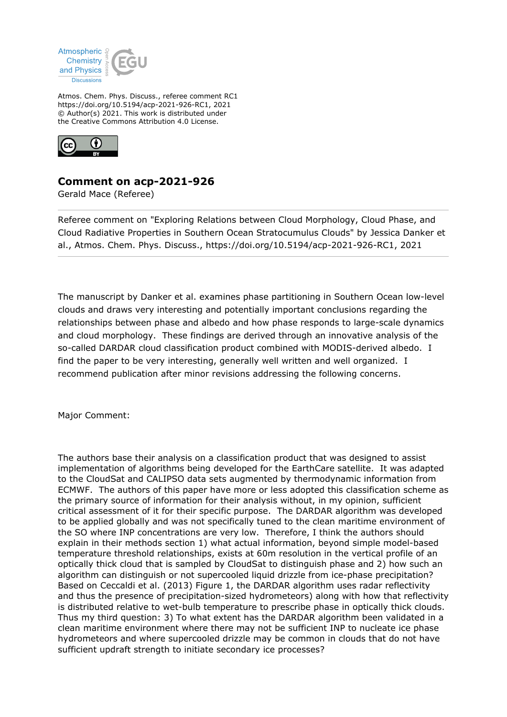

Atmos. Chem. Phys. Discuss., referee comment RC1 https://doi.org/10.5194/acp-2021-926-RC1, 2021 © Author(s) 2021. This work is distributed under the Creative Commons Attribution 4.0 License.



## **Comment on acp-2021-926**

Gerald Mace (Referee)

Referee comment on "Exploring Relations between Cloud Morphology, Cloud Phase, and Cloud Radiative Properties in Southern Ocean Stratocumulus Clouds" by Jessica Danker et al., Atmos. Chem. Phys. Discuss., https://doi.org/10.5194/acp-2021-926-RC1, 2021

The manuscript by Danker et al. examines phase partitioning in Southern Ocean low-level clouds and draws very interesting and potentially important conclusions regarding the relationships between phase and albedo and how phase responds to large-scale dynamics and cloud morphology. These findings are derived through an innovative analysis of the so-called DARDAR cloud classification product combined with MODIS-derived albedo. I find the paper to be very interesting, generally well written and well organized. I recommend publication after minor revisions addressing the following concerns.

Major Comment:

The authors base their analysis on a classification product that was designed to assist implementation of algorithms being developed for the EarthCare satellite. It was adapted to the CloudSat and CALIPSO data sets augmented by thermodynamic information from ECMWF. The authors of this paper have more or less adopted this classification scheme as the primary source of information for their analysis without, in my opinion, sufficient critical assessment of it for their specific purpose. The DARDAR algorithm was developed to be applied globally and was not specifically tuned to the clean maritime environment of the SO where INP concentrations are very low. Therefore, I think the authors should explain in their methods section 1) what actual information, beyond simple model-based temperature threshold relationships, exists at 60m resolution in the vertical profile of an optically thick cloud that is sampled by CloudSat to distinguish phase and 2) how such an algorithm can distinguish or not supercooled liquid drizzle from ice-phase precipitation? Based on Ceccaldi et al. (2013) Figure 1, the DARDAR algorithm uses radar reflectivity and thus the presence of precipitation-sized hydrometeors) along with how that reflectivity is distributed relative to wet-bulb temperature to prescribe phase in optically thick clouds. Thus my third question: 3) To what extent has the DARDAR algorithm been validated in a clean maritime environment where there may not be sufficient INP to nucleate ice phase hydrometeors and where supercooled drizzle may be common in clouds that do not have sufficient updraft strength to initiate secondary ice processes?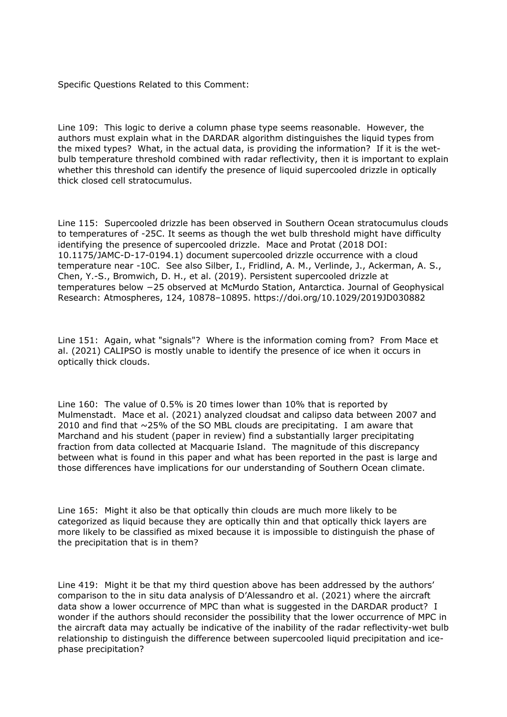Specific Questions Related to this Comment:

Line 109: This logic to derive a column phase type seems reasonable. However, the authors must explain what in the DARDAR algorithm distinguishes the liquid types from the mixed types? What, in the actual data, is providing the information? If it is the wetbulb temperature threshold combined with radar reflectivity, then it is important to explain whether this threshold can identify the presence of liquid supercooled drizzle in optically thick closed cell stratocumulus.

Line 115: Supercooled drizzle has been observed in Southern Ocean stratocumulus clouds to temperatures of -25C. It seems as though the wet bulb threshold might have difficulty identifying the presence of supercooled drizzle. Mace and Protat (2018 DOI: 10.1175/JAMC-D-17-0194.1) document supercooled drizzle occurrence with a cloud temperature near -10C. See also Silber, I., Fridlind, A. M., Verlinde, J., Ackerman, A. S., Chen, Y.-S., Bromwich, D. H., et al. (2019). Persistent supercooled drizzle at temperatures below −25 observed at McMurdo Station, Antarctica. Journal of Geophysical Research: Atmospheres, 124, 10878–10895. https://doi.org/10.1029/2019JD030882

Line 151: Again, what "signals"? Where is the information coming from? From Mace et al. (2021) CALIPSO is mostly unable to identify the presence of ice when it occurs in optically thick clouds.

Line 160: The value of 0.5% is 20 times lower than 10% that is reported by Mulmenstadt. Mace et al. (2021) analyzed cloudsat and calipso data between 2007 and 2010 and find that  $\sim$  25% of the SO MBL clouds are precipitating. I am aware that Marchand and his student (paper in review) find a substantially larger precipitating fraction from data collected at Macquarie Island. The magnitude of this discrepancy between what is found in this paper and what has been reported in the past is large and those differences have implications for our understanding of Southern Ocean climate.

Line 165: Might it also be that optically thin clouds are much more likely to be categorized as liquid because they are optically thin and that optically thick layers are more likely to be classified as mixed because it is impossible to distinguish the phase of the precipitation that is in them?

Line 419: Might it be that my third question above has been addressed by the authors' comparison to the in situ data analysis of D'Alessandro et al. (2021) where the aircraft data show a lower occurrence of MPC than what is suggested in the DARDAR product? I wonder if the authors should reconsider the possibility that the lower occurrence of MPC in the aircraft data may actually be indicative of the inability of the radar reflectivity-wet bulb relationship to distinguish the difference between supercooled liquid precipitation and icephase precipitation?